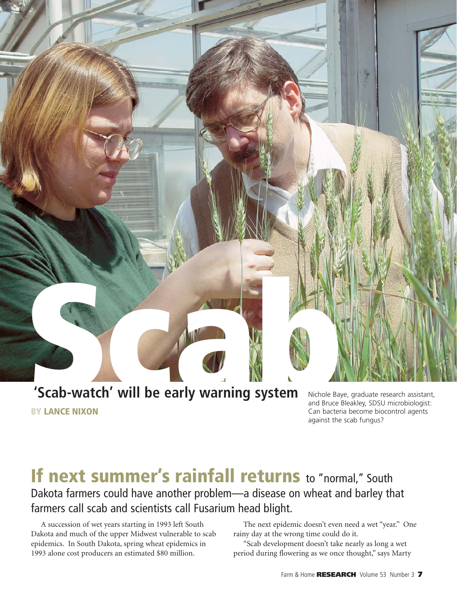

**BY LANCE NIXON**

and Bruce Bleakley, SDSU microbiologist: Can bacteria become biocontrol agents against the scab fungus?

# **If next summer's rainfall returns to "normal," South** Dakota farmers could have another problem—a disease on wheat and barley that farmers call scab and scientists call Fusarium head blight.

A succession of wet years starting in 1993 left South Dakota and much of the upper Midwest vulnerable to scab epidemics. In South Dakota, spring wheat epidemics in 1993 alone cost producers an estimated \$80 million.

The next epidemic doesn't even need a wet "year." One rainy day at the wrong time could do it.

"Scab development doesn't take nearly as long a wet period during flowering as we once thought," says Marty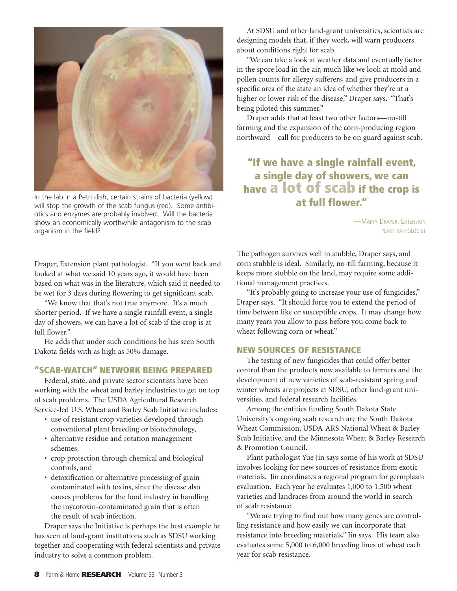

In the lab in a Petri dish, certain strains of bacteria (yellow) will stop the growth of the scab fungus (red). Some antibiotics and enzymes are probably involved. Will the bacteria show an economically worthwhile antagonism to the scab organism in the field?

Draper, Extension plant pathologist. "If you went back and looked at what we said 10 years ago, it would have been based on what was in the literature, which said it needed to be wet for 3 days during flowering to get significant scab.

"We know that that's not true anymore. It's a much shorter period. If we have a single rainfall event, a single day of showers, we can have a lot of scab if the crop is at full flower."

He adds that under such conditions he has seen South Dakota fields with as high as 50% damage.

### **"SCAB-WATCH" NETWORK BEING PREPARED**

Federal, state, and private sector scientists have been working with the wheat and barley industries to get on top of scab problems. The USDA Agricultural Research Service-led U.S. Wheat and Barley Scab Initiative includes:

- use of resistant crop varieties developed through conventional plant breeding or biotechnology,
- alternative residue and rotation management schemes,
- crop protection through chemical and biological controls, and
- detoxification or alternative processing of grain contaminated with toxins, since the disease also causes problems for the food industry in handling the mycotoxin-contaminated grain that is often the result of scab infection.

Draper says the Initiative is perhaps the best example he has seen of land-grant institutions such as SDSU working together and cooperating with federal scientists and private industry to solve a common problem.

At SDSU and other land-grant universities, scientists are designing models that, if they work, will warn producers about conditions right for scab.

"We can take a look at weather data and eventually factor in the spore load in the air, much like we look at mold and pollen counts for allergy sufferers, and give producers in a specific area of the state an idea of whether they're at a higher or lower risk of the disease," Draper says. "That's being piloted this summer."

Draper adds that at least two other factors—no-till farming and the expansion of the corn-producing region northward—call for producers to be on guard against scab.

## **"If we have a single rainfall event, a single day of showers, we can have a lot of scab if the crop is at full flower."**

—MARTY DRAPER, EXTENSION PLANT PATHOLOGIST

The pathogen survives well in stubble, Draper says, and corn stubble is ideal. Similarly, no-till farming, because it keeps more stubble on the land, may require some additional management practices.

"It's probably going to increase your use of fungicides," Draper says. "It should force you to extend the period of time between like or susceptible crops. It may change how many years you allow to pass before you come back to wheat following corn or wheat."

#### **NEW SOURCES OF RESISTANCE**

The testing of new fungicides that could offer better control than the products now available to farmers and the development of new varieties of scab-resistant spring and winter wheats are projects at SDSU, other land-grant universities. and federal research facilities.

Among the entities funding South Dakota State University's ongoing scab research are the South Dakota Wheat Commission, USDA-ARS National Wheat & Barley Scab Initiative, and the Minnesota Wheat & Barley Research & Promotion Council.

Plant pathologist Yue Jin says some of his work at SDSU involves looking for new sources of resistance from exotic materials. Jin coordinates a regional program for germplasm evaluation. Each year he evaluates 1,000 to 1,500 wheat varieties and landraces from around the world in search of scab resistance.

"We are trying to find out how many genes are controlling resistance and how easily we can incorporate that resistance into breeding materials," Jin says. His team also evaluates some 5,000 to 6,000 breeding lines of wheat each year for scab resistance.